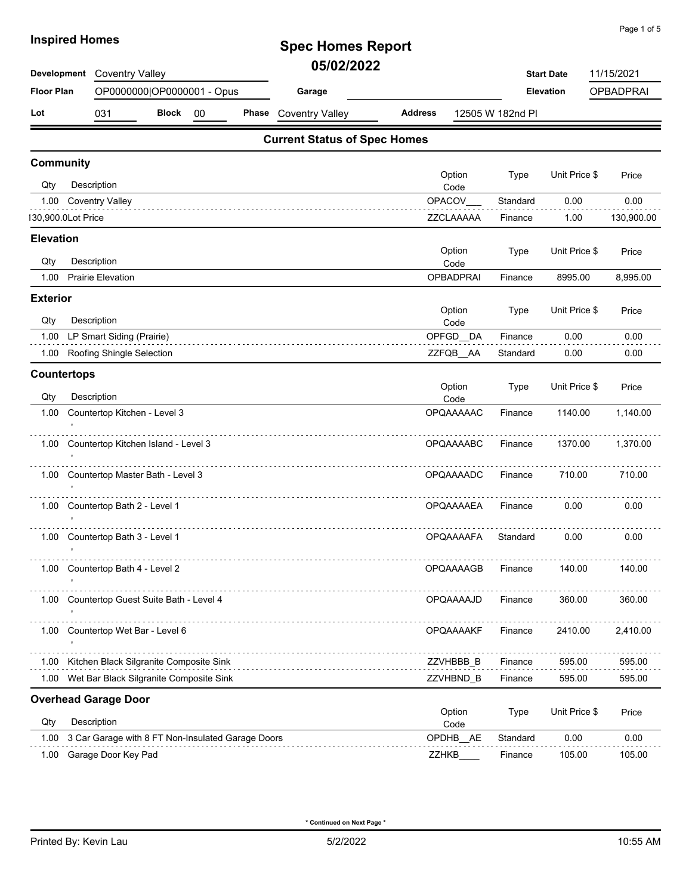| <b>IIISPIIEU HUIIIES</b>                        |                                              |              |    |   | <b>Spec Homes Report</b>            |                |                  |                  |                   |            |
|-------------------------------------------------|----------------------------------------------|--------------|----|---|-------------------------------------|----------------|------------------|------------------|-------------------|------------|
| Development                                     | <b>Coventry Valley</b>                       |              |    |   | 05/02/2022                          |                |                  |                  | <b>Start Date</b> | 11/15/2021 |
| <b>Floor Plan</b><br>OP0000000 OP0000001 - Opus |                                              |              |    |   | Garage                              |                |                  | <b>Elevation</b> | <b>OPBADPRAI</b>  |            |
| Lot                                             | 031                                          | <b>Block</b> | 00 |   | Phase Coventry Valley               | <b>Address</b> |                  | 12505 W 182nd PI |                   |            |
|                                                 |                                              |              |    |   | <b>Current Status of Spec Homes</b> |                |                  |                  |                   |            |
| <b>Community</b>                                |                                              |              |    |   |                                     |                | Option           | <b>Type</b>      | Unit Price \$     |            |
| Qty                                             | Description                                  |              |    |   |                                     |                | Code             |                  |                   | Price      |
| 1.00                                            | <b>Coventry Valley</b>                       |              |    |   |                                     |                | OPACOV           | Standard         | 0.00              | 0.00       |
| 130,900.0Lot Price                              |                                              |              |    |   |                                     |                | ZZCLAAAAA        | Finance          | 1.00              | 130,900.00 |
| <b>Elevation</b>                                |                                              |              |    |   |                                     |                |                  |                  |                   |            |
| Qty                                             | Description                                  |              |    |   |                                     |                | Option<br>Code   | Type             | Unit Price \$     | Price      |
| 1.00                                            | <b>Prairie Elevation</b>                     |              |    |   |                                     |                | <b>OPBADPRAI</b> | Finance          | 8995.00           | 8,995.00   |
| <b>Exterior</b>                                 |                                              |              |    |   |                                     |                |                  |                  |                   |            |
| Qty                                             | Description                                  |              |    |   |                                     |                | Option<br>Code   | Type             | Unit Price \$     | Price      |
| 1.00                                            | LP Smart Siding (Prairie)                    |              |    |   |                                     |                | OPFGD DA         | Finance          | 0.00              | 0.00       |
| 1.00                                            | Roofing Shingle Selection                    |              |    |   |                                     |                | ZZFQB AA         | Standard         | 0.00              | 0.00       |
| <b>Countertops</b>                              |                                              |              |    |   |                                     |                |                  |                  |                   |            |
| Qty                                             | Description                                  |              |    |   |                                     |                | Option<br>Code   | Type             | Unit Price \$     | Price      |
| 1.00                                            | Countertop Kitchen - Level 3                 |              |    |   |                                     |                | <b>OPQAAAAAC</b> | Finance          | 1140.00           | 1,140.00   |
|                                                 | 1.00 Countertop Kitchen Island - Level 3     |              |    | . |                                     |                | OPQAAAABC        | Finance          | 1370.00           | 1,370.00   |
| 1.00                                            | Countertop Master Bath - Level 3             |              |    |   |                                     |                | <b>OPQAAAADC</b> | Finance          | 710.00            | 710.00     |
|                                                 | 1.00 Countertop Bath 2 - Level 1             |              |    |   |                                     |                | <b>OPQAAAAEA</b> | Finance          | 0.00              | 0.00       |
|                                                 | 1.00 Countertop Bath 3 - Level 1             |              |    |   |                                     |                | <b>OPQAAAAFA</b> | Standard         | 0.00              | 0.00       |
|                                                 | 1.00 Countertop Bath 4 - Level 2             |              |    |   |                                     |                | OPQAAAAGB        | Finance          | 140.00            | 140.00     |
| 1.00                                            | Countertop Guest Suite Bath - Level 4        |              |    |   |                                     |                | OPQAAAAJD        | Finance          | 360.00            | 360.00     |
| 1.00                                            | Countertop Wet Bar - Level 6                 |              |    |   |                                     |                | <b>OPQAAAAKF</b> | Finance          | 2410.00           | 2,410.00   |
| 1.00                                            | Kitchen Black Silgranite Composite Sink      |              |    |   |                                     |                | ZZVHBBB_B        | Finance          | 595.00            | 595.00     |
|                                                 | 1.00 Wet Bar Black Silgranite Composite Sink |              |    |   |                                     |                | ZZVHBND_B        | Finance          | 595.00            | 595.00     |
|                                                 | <b>Overhead Garage Door</b>                  |              |    |   |                                     |                | Option           | Type             | Unit Price \$     | Price      |

| Qtv  | Description                                            | Code               |          |        |        |
|------|--------------------------------------------------------|--------------------|----------|--------|--------|
|      | 1.00 3 Car Garage with 8 FT Non-Insulated Garage Doors | OPDHB<br><b>AE</b> | Standard | 0.00   | 0.00   |
| 1.00 | Garage Door Key Pad                                    | ZZHKB              | Finance  | 105.00 | 105.00 |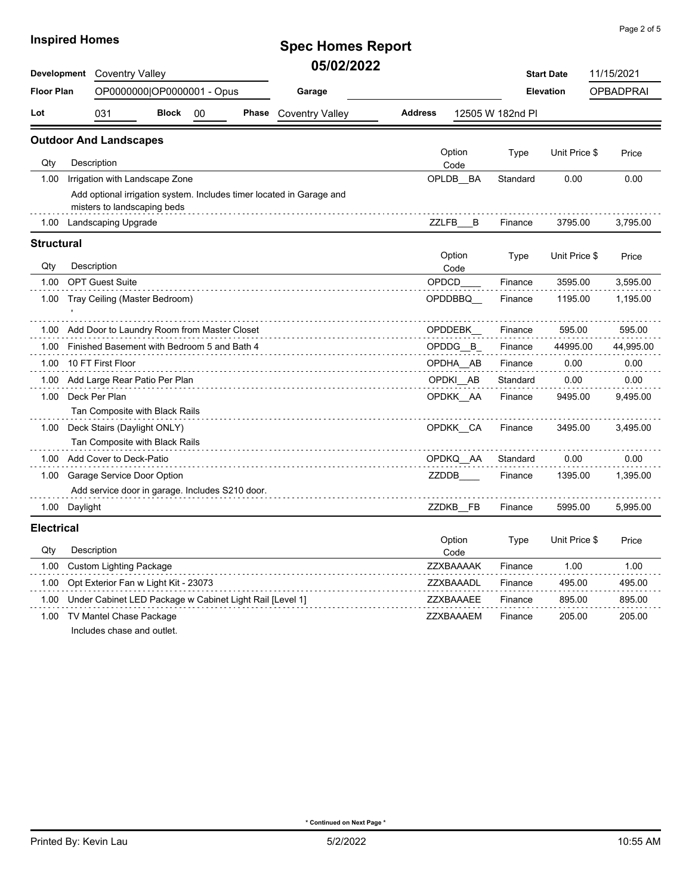### **Spec Homes Report 05/02/2022**

| Development       | <b>Coventry Valley</b>                                        |              |    |        | UJIVAILULL                                                           |                  |           |                  | <b>Start Date</b> | 11/15/2021 |  |
|-------------------|---------------------------------------------------------------|--------------|----|--------|----------------------------------------------------------------------|------------------|-----------|------------------|-------------------|------------|--|
| <b>Floor Plan</b> | OP0000000 OP0000001 - Opus                                    |              |    | Garage |                                                                      |                  | Elevation |                  | <b>OPBADPRAI</b>  |            |  |
| Lot               | 031                                                           | <b>Block</b> | 00 | Phase  | <b>Coventry Valley</b>                                               | <b>Address</b>   |           | 12505 W 182nd Pl |                   |            |  |
|                   | <b>Outdoor And Landscapes</b>                                 |              |    |        |                                                                      |                  |           |                  |                   |            |  |
| Qty               | Description                                                   |              |    |        |                                                                      | Option<br>Code   |           | Type             | Unit Price \$     | Price      |  |
| 1.00              | Irrigation with Landscape Zone                                |              |    |        |                                                                      | OPLDB BA         |           | Standard         | 0.00              | 0.00       |  |
|                   | misters to landscaping beds                                   |              |    |        | Add optional irrigation system. Includes timer located in Garage and |                  |           |                  |                   |            |  |
| 1.00              | Landscaping Upgrade                                           |              |    |        |                                                                      | ZZLFB B          |           | Finance          | 3795.00           | 3,795.00   |  |
| <b>Structural</b> |                                                               |              |    |        |                                                                      |                  |           |                  |                   |            |  |
| Qty               | Description                                                   |              |    |        |                                                                      | Option<br>Code   |           | <b>Type</b>      | Unit Price \$     | Price      |  |
| 1.00              | <b>OPT Guest Suite</b>                                        |              |    |        |                                                                      | <b>OPDCD</b>     |           | Finance          | 3595.00           | 3,595.00   |  |
| 1.00              | Tray Ceiling (Master Bedroom)                                 |              |    |        |                                                                      | OPDDBBQ          |           | 1195.00          | 1,195.00          |            |  |
| 1.00              | Add Door to Laundry Room from Master Closet                   |              |    |        |                                                                      | OPDDEBK          |           | Finance          | 595.00            | 595.00     |  |
| 1.00              | Finished Basement with Bedroom 5 and Bath 4                   |              |    |        |                                                                      | OPDDG B          |           | Finance          | 44995.00          | 44,995.00  |  |
| 1.00              | 10 FT First Floor                                             |              |    |        |                                                                      | OPDHA AB         |           | Finance          | 0.00              | 0.00       |  |
| 1.00              | Add Large Rear Patio Per Plan                                 |              |    |        |                                                                      | OPDKI AB         |           | Standard         | 0.00              | 0.00       |  |
| 1.00              | Deck Per Plan<br>Tan Composite with Black Rails               |              |    |        |                                                                      | OPDKK AA         |           | Finance          | 9495.00           | 9,495.00   |  |
| 1.00              | Deck Stairs (Daylight ONLY)<br>Tan Composite with Black Rails |              |    |        |                                                                      | OPDKK CA         |           | Finance          | 3495.00           | 3,495.00   |  |
| 1.00              | Add Cover to Deck-Patio                                       |              |    |        |                                                                      | OPDKQ_AA         |           | Standard         | 0.00              | 0.00       |  |
| 1.00              | Garage Service Door Option                                    |              |    |        |                                                                      | ZZDDB            |           | Finance          | 1395.00           | 1,395.00   |  |
|                   | Add service door in garage. Includes S210 door.               |              |    |        |                                                                      |                  |           |                  |                   |            |  |
| 1.00              | Daylight                                                      |              |    |        |                                                                      | ZZDKB_FB         |           | Finance          | 5995.00           | 5,995.00   |  |
| <b>Electrical</b> |                                                               |              |    |        |                                                                      |                  |           |                  |                   |            |  |
| Qty               | Description                                                   |              |    |        |                                                                      | Option<br>Code   |           | Type             | Unit Price \$     | Price      |  |
| 1.00              | <b>Custom Lighting Package</b>                                |              |    |        |                                                                      | <b>ZZXBAAAAK</b> |           | Finance          | 1.00              | 1.00       |  |
| 1.00              | Opt Exterior Fan w Light Kit - 23073                          |              |    |        |                                                                      | ZZXBAAADL        |           | Finance          | 495.00            | 495.00     |  |
|                   | 1.00 Under Cabinet LED Package w Cabinet Light Rail [Level 1] |              |    |        |                                                                      | ZZXBAAAEE        |           | Finance          | 895.00            | 895.00     |  |
|                   |                                                               |              |    |        |                                                                      |                  |           |                  |                   |            |  |

1.00 TV Mantel Chase Package **Network 1.00 TV Mantel Chase Package 205.00** 205.00 205.00

Includes chase and outlet.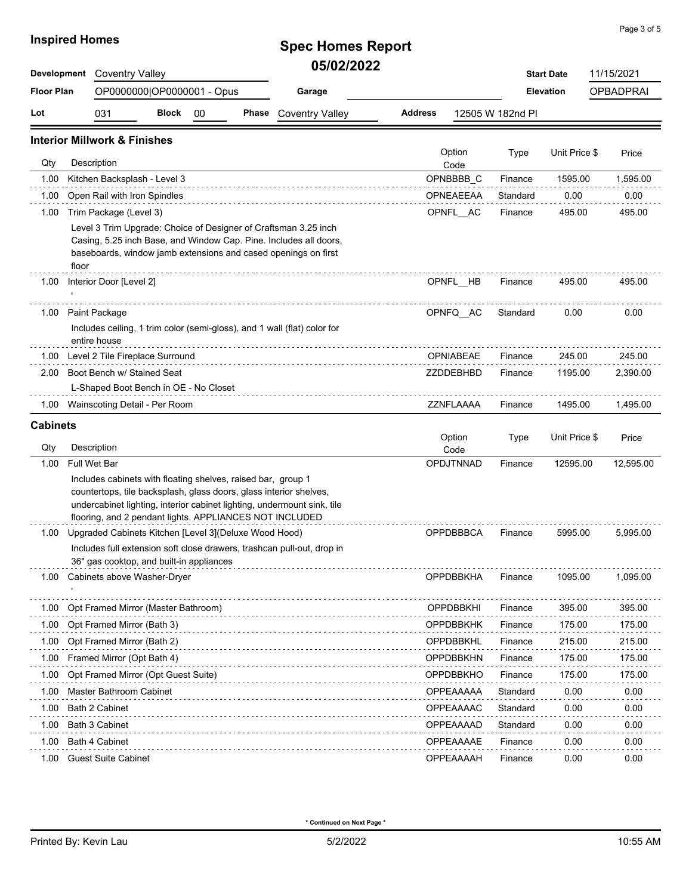# **Spec Homes Report 05/02/2022**

| Development       |                                                                                                                                                                                               | <b>Coventry Valley</b>     |  |  |                                                                                                                                                                                                        |                  |                  |                  | <b>Start Date</b> | 11/15/2021       |  |
|-------------------|-----------------------------------------------------------------------------------------------------------------------------------------------------------------------------------------------|----------------------------|--|--|--------------------------------------------------------------------------------------------------------------------------------------------------------------------------------------------------------|------------------|------------------|------------------|-------------------|------------------|--|
| <b>Floor Plan</b> |                                                                                                                                                                                               | OP0000000 OP0000001 - Opus |  |  | Garage                                                                                                                                                                                                 |                  |                  |                  | <b>Elevation</b>  | <b>OPBADPRAI</b> |  |
| Lot               | 031<br><b>Block</b><br>00<br>Phase                                                                                                                                                            |                            |  |  | <b>Coventry Valley</b>                                                                                                                                                                                 | <b>Address</b>   |                  | 12505 W 182nd PI |                   |                  |  |
|                   | <b>Interior Millwork &amp; Finishes</b>                                                                                                                                                       |                            |  |  |                                                                                                                                                                                                        |                  |                  |                  |                   |                  |  |
| Qty               | Description                                                                                                                                                                                   |                            |  |  |                                                                                                                                                                                                        |                  | Option<br>Code   |                  | Unit Price \$     | Price            |  |
| 1.00              | Kitchen Backsplash - Level 3                                                                                                                                                                  |                            |  |  |                                                                                                                                                                                                        |                  | OPNBBBB_C        | Finance          | 1595.00           | 1,595.00         |  |
| 1.00              | Open Rail with Iron Spindles                                                                                                                                                                  |                            |  |  |                                                                                                                                                                                                        |                  | OPNEAEEAA        | Standard         | 0.00              | 0.00             |  |
| 1.00              | Trim Package (Level 3)                                                                                                                                                                        |                            |  |  |                                                                                                                                                                                                        |                  | OPNFL AC         | Finance          | 495.00            | 495.00           |  |
|                   | floor                                                                                                                                                                                         |                            |  |  | Level 3 Trim Upgrade: Choice of Designer of Craftsman 3.25 inch<br>Casing, 5.25 inch Base, and Window Cap. Pine. Includes all doors,<br>baseboards, window jamb extensions and cased openings on first |                  |                  |                  |                   |                  |  |
| 1.00              | Interior Door [Level 2]                                                                                                                                                                       |                            |  |  |                                                                                                                                                                                                        |                  | OPNFL HB         | Finance          | 495.00            | 495.00           |  |
| 1.00              | Paint Package                                                                                                                                                                                 |                            |  |  |                                                                                                                                                                                                        |                  | OPNFQ AC         | Standard         | 0.00              | 0.00             |  |
|                   | entire house                                                                                                                                                                                  |                            |  |  | Includes ceiling, 1 trim color (semi-gloss), and 1 wall (flat) color for                                                                                                                               |                  |                  |                  |                   |                  |  |
| 1.00              | Level 2 Tile Fireplace Surround                                                                                                                                                               |                            |  |  |                                                                                                                                                                                                        |                  | OPNIABEAE        | Finance          | 245.00            | 245.00           |  |
| 2.00              | Boot Bench w/ Stained Seat                                                                                                                                                                    |                            |  |  |                                                                                                                                                                                                        |                  | ZZDDEBHBD        | Finance          | 1195.00           | 2,390.00         |  |
|                   | L-Shaped Boot Bench in OE - No Closet                                                                                                                                                         |                            |  |  |                                                                                                                                                                                                        |                  |                  |                  |                   |                  |  |
| 1.00              | Wainscoting Detail - Per Room                                                                                                                                                                 |                            |  |  |                                                                                                                                                                                                        |                  | ZZNFLAAAA        | Finance          | 1495.00           | 1,495.00         |  |
| <b>Cabinets</b>   |                                                                                                                                                                                               |                            |  |  |                                                                                                                                                                                                        |                  |                  |                  |                   |                  |  |
| Qty               | Description                                                                                                                                                                                   |                            |  |  |                                                                                                                                                                                                        |                  | Option<br>Code   | Type             | Unit Price \$     | Price            |  |
| 1.00              | Full Wet Bar                                                                                                                                                                                  |                            |  |  |                                                                                                                                                                                                        |                  | OPDJTNNAD        | Finance          | 12595.00          | 12,595.00        |  |
|                   | Includes cabinets with floating shelves, raised bar, group 1<br>countertops, tile backsplash, glass doors, glass interior shelves,<br>flooring, and 2 pendant lights. APPLIANCES NOT INCLUDED |                            |  |  | undercabinet lighting, interior cabinet lighting, undermount sink, tile                                                                                                                                |                  |                  |                  |                   |                  |  |
| 1.00              | Upgraded Cabinets Kitchen [Level 3] (Deluxe Wood Hood)                                                                                                                                        |                            |  |  |                                                                                                                                                                                                        |                  | OPPDBBBCA        | Finance          | 5995.00           | 5,995.00         |  |
|                   | 36" gas cooktop, and built-in appliances                                                                                                                                                      |                            |  |  | Includes full extension soft close drawers, trashcan pull-out, drop in                                                                                                                                 |                  |                  |                  |                   |                  |  |
|                   | Cabinets above Washer-Dryer                                                                                                                                                                   |                            |  |  |                                                                                                                                                                                                        |                  | <b>ОРРОВВКНА</b> | <b>Finance</b>   | 1095.00           | 1,095.00         |  |
| 1.00              | Opt Framed Mirror (Master Bathroom)                                                                                                                                                           |                            |  |  |                                                                                                                                                                                                        |                  | <b>OPPDBBKHI</b> | Finance          | 395.00            | 395.00           |  |
| 1.00              | Opt Framed Mirror (Bath 3)                                                                                                                                                                    |                            |  |  |                                                                                                                                                                                                        | <b>OPPDBBKHK</b> |                  | Finance          | 175.00            | 175.00           |  |
| 1.00              | Opt Framed Mirror (Bath 2)                                                                                                                                                                    |                            |  |  | OPPDBBKHL                                                                                                                                                                                              |                  | Finance          | 215.00           | 215.00            |                  |  |
| 1.00              | Framed Mirror (Opt Bath 4)                                                                                                                                                                    |                            |  |  | <b>OPPDBBKHN</b>                                                                                                                                                                                       |                  | Finance          | 175.00           | 175.00            |                  |  |
| 1.00              | Opt Framed Mirror (Opt Guest Suite)                                                                                                                                                           |                            |  |  |                                                                                                                                                                                                        |                  | OPPDBBKHO        | Finance          | 175.00            | 175.00           |  |
| 1.00              | Master Bathroom Cabinet                                                                                                                                                                       |                            |  |  |                                                                                                                                                                                                        |                  | OPPEAAAAA        | Standard         | 0.00              | 0.00             |  |
| 1.00              | Bath 2 Cabinet                                                                                                                                                                                |                            |  |  |                                                                                                                                                                                                        |                  | OPPEAAAAC        | Standard         | 0.00              | 0.00             |  |
| 1.00              | Bath 3 Cabinet                                                                                                                                                                                |                            |  |  |                                                                                                                                                                                                        |                  | OPPEAAAAD        | Standard         | 0.00              | 0.00             |  |
| 1.00              | Bath 4 Cabinet                                                                                                                                                                                |                            |  |  |                                                                                                                                                                                                        |                  | OPPEAAAAE        | Finance          | 0.00              | 0.00             |  |
| 1.00              | <b>Guest Suite Cabinet</b>                                                                                                                                                                    |                            |  |  |                                                                                                                                                                                                        |                  | OPPEAAAAH        | Finance          | 0.00              | 0.00             |  |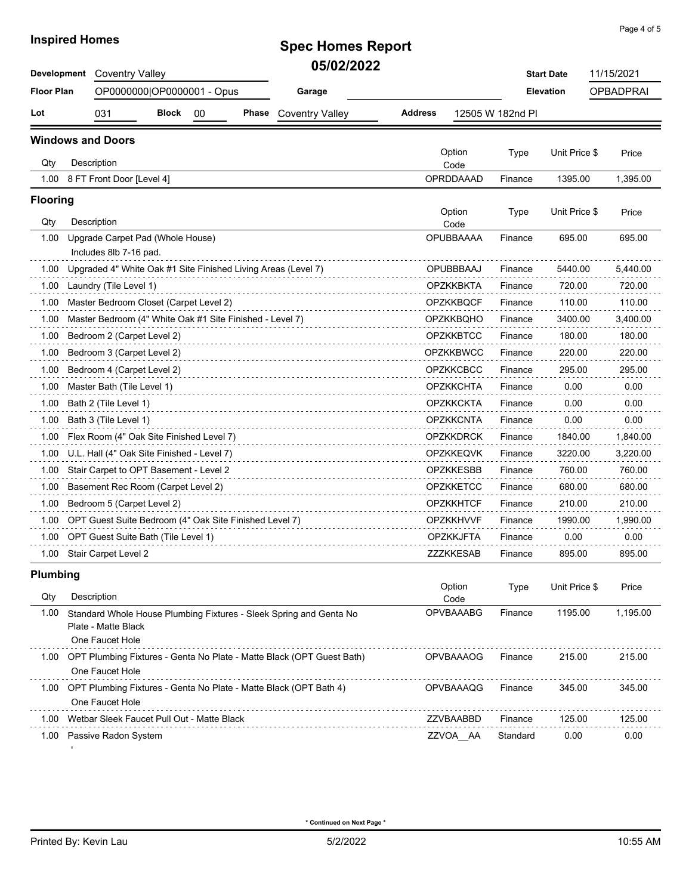# **Spec Homes Report 05/02/2022**

| Development       | <b>Coventry Valley</b>                                                                   |                            |    |       | VVI V <i>li l</i> v <i>ll</i>                                      |                  |                          | <b>Start Date</b> | 11/15/2021       |                  |
|-------------------|------------------------------------------------------------------------------------------|----------------------------|----|-------|--------------------------------------------------------------------|------------------|--------------------------|-------------------|------------------|------------------|
| <b>Floor Plan</b> |                                                                                          | OP0000000 OP0000001 - Opus |    |       | Garage                                                             |                  |                          |                   | <b>Elevation</b> | <b>OPBADPRAI</b> |
| Lot               | 031                                                                                      | <b>Block</b>               | 00 | Phase | <b>Coventry Valley</b>                                             | <b>Address</b>   |                          | 12505 W 182nd PI  |                  |                  |
|                   | <b>Windows and Doors</b>                                                                 |                            |    |       |                                                                    |                  |                          |                   |                  |                  |
| Qty               | Description                                                                              |                            |    |       |                                                                    |                  | Option<br>Code           | Type              | Unit Price \$    | Price            |
| 1.00              | 8 FT Front Door [Level 4]                                                                |                            |    |       |                                                                    |                  | OPRDDAAAD                | Finance           | 1395.00          | 1,395.00         |
| <b>Flooring</b>   |                                                                                          |                            |    |       |                                                                    |                  |                          |                   |                  |                  |
| Qty               | Description                                                                              |                            |    |       |                                                                    |                  | Option                   | Type              | Unit Price \$    | Price            |
| 1.00              | Upgrade Carpet Pad (Whole House)<br>Includes 8lb 7-16 pad.                               |                            |    |       |                                                                    |                  | Code<br><b>OPUBBAAAA</b> | Finance           | 695.00           | 695.00           |
| 1.00              | Upgraded 4" White Oak #1 Site Finished Living Areas (Level 7)                            |                            |    |       |                                                                    |                  | OPUBBBAAJ                | Finance           | 5440.00          | 5,440.00         |
| 1.00              | Laundry (Tile Level 1)                                                                   |                            |    |       |                                                                    |                  | <b>OPZKKBKTA</b>         | Finance           | 720.00           | 720.00           |
| 1.00              | Master Bedroom Closet (Carpet Level 2)                                                   |                            |    |       |                                                                    |                  | <b>OPZKKBQCF</b>         | Finance           | 110.00           | 110.00           |
| 1.00              | Master Bedroom (4" White Oak #1 Site Finished - Level 7)                                 |                            |    |       |                                                                    |                  | OPZKKBQHO                | Finance           | 3400.00          | 3,400.00         |
| 1.00              | Bedroom 2 (Carpet Level 2)                                                               |                            |    |       |                                                                    |                  | <b>OPZKKBTCC</b>         | Finance           | 180.00           | 180.00           |
| 1.00              | Bedroom 3 (Carpet Level 2)                                                               |                            |    |       |                                                                    |                  | <b>OPZKKBWCC</b>         | Finance           | 220.00           | 220.00           |
| 1.00              | Bedroom 4 (Carpet Level 2)                                                               |                            |    |       |                                                                    |                  | <b>OPZKKCBCC</b>         | Finance           | 295.00           | 295.00           |
| 1.00              | Master Bath (Tile Level 1)                                                               |                            |    |       |                                                                    |                  | <b>OPZKKCHTA</b>         | Finance           | 0.00             | 0.00             |
| 1.00              | Bath 2 (Tile Level 1)                                                                    |                            |    |       |                                                                    |                  | <b>OPZKKCKTA</b>         | Finance           | 0.00             | 0.00             |
| 1.00              | Bath 3 (Tile Level 1)                                                                    |                            |    |       |                                                                    |                  | <b>OPZKKCNTA</b>         | Finance           | 0.00             | 0.00             |
| 1.00              | Flex Room (4" Oak Site Finished Level 7)                                                 |                            |    |       |                                                                    |                  | <b>OPZKKDRCK</b>         | Finance           | 1840.00          | 1,840.00         |
| 1.00              | U.L. Hall (4" Oak Site Finished - Level 7)                                               |                            |    |       |                                                                    |                  | <b>OPZKKEQVK</b>         | Finance           | 3220.00          | 3,220.00         |
| 1.00              | Stair Carpet to OPT Basement - Level 2                                                   |                            |    |       |                                                                    |                  | <b>OPZKKESBB</b>         | Finance           | 760.00           | 760.00           |
| 1.00              | Basement Rec Room (Carpet Level 2)                                                       |                            |    |       |                                                                    |                  | <b>OPZKKETCC</b>         | Finance           | 680.00           | 680.00           |
| 1.00              | Bedroom 5 (Carpet Level 2)                                                               |                            |    |       |                                                                    |                  | <b>OPZKKHTCF</b>         | Finance           | 210.00           | 210.00           |
| 1.00              | OPT Guest Suite Bedroom (4" Oak Site Finished Level 7)                                   |                            |    |       |                                                                    |                  | <b>OPZKKHVVF</b>         | Finance           | 1990.00          | 1,990.00         |
| 1.00              | OPT Guest Suite Bath (Tile Level 1)                                                      |                            |    |       |                                                                    |                  | <b>OPZKKJFTA</b>         | Finance           | 0.00             | 0.00             |
| 1.00              | Stair Carpet Level 2                                                                     |                            |    |       |                                                                    |                  | ZZZKKESAB                | Finance           | 895.00           | 895.00           |
| <b>Plumbing</b>   |                                                                                          |                            |    |       |                                                                    |                  |                          |                   |                  |                  |
| Qty               | Description                                                                              |                            |    |       |                                                                    |                  | Option<br>Code           | Type              | Unit Price \$    | Price            |
| 1.00              | Plate - Matte Black<br>One Faucet Hole                                                   |                            |    |       | Standard Whole House Plumbing Fixtures - Sleek Spring and Genta No |                  | <b>OPVBAAABG</b>         | Finance           | 1195.00          | 1,195.00         |
| 1.00              | OPT Plumbing Fixtures - Genta No Plate - Matte Black (OPT Guest Bath)<br>One Faucet Hole |                            |    |       |                                                                    | <b>OPVBAAAOG</b> |                          | Finance           | 215.00           | 215.00           |
| 1.00              | One Faucet Hole                                                                          |                            |    |       | OPT Plumbing Fixtures - Genta No Plate - Matte Black (OPT Bath 4)  |                  | OPVBAAAQG                | Finance           | 345.00           | 345.00           |
| 1.00              | Wetbar Sleek Faucet Pull Out - Matte Black                                               |                            |    |       |                                                                    |                  | ZZVBAABBD                | Finance           | 125.00           | 125.00           |
| 1.00              | Passive Radon System                                                                     |                            |    |       |                                                                    |                  | ZZVOA AA                 | Standard          | 0.00             | 0.00             |
|                   |                                                                                          |                            |    |       |                                                                    |                  |                          |                   |                  |                  |